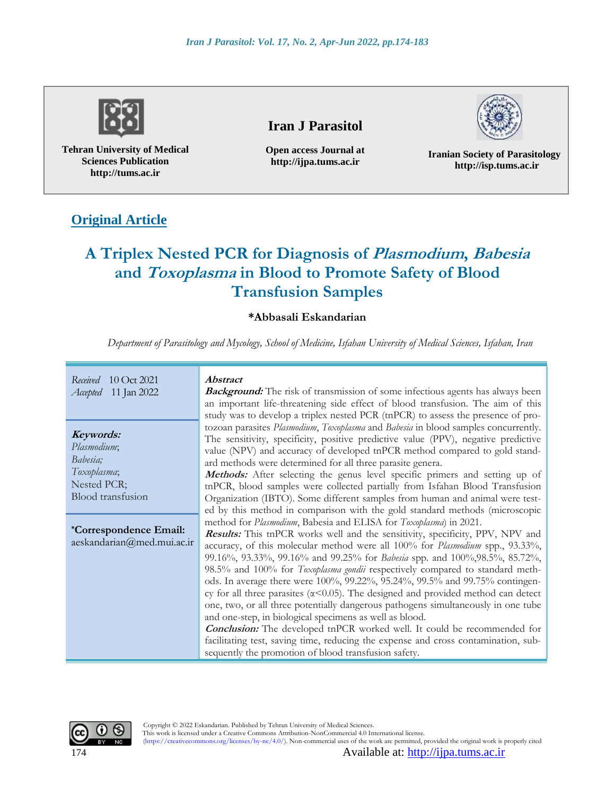

**Tehran University of Medical Sciences Publication http://tums.ac.ir**

## **Iran J Parasitol**

**Open access Journal at http://ijpa.tums.ac.ir**



**Iranian Society of Parasitology http://isp.tums.ac.ir**

## **Original Article**

# **A Triplex Nested PCR for Diagnosis of Plasmodium, Babesia and Toxoplasma in Blood to Promote Safety of Blood Transfusion Samples**

### **\*Abbasali Eskandarian**

*Department of Parasitology and Mycology, School of Medicine, Isfahan University of Medical Sciences, Isfahan, Iran*

*Received* 10 Oct 2021 *Accepted* 11 Jan 2022

**Keywords:** *Plasmodium*; *Babesia; Toxoplasma*; Nested PCR; Blood transfusion

**\*Correspondence Email:** aeskandarian@med.mui.ac.ir **Abstract**

**Background:** The risk of transmission of some infectious agents has always been an important life-threatening side effect of blood transfusion. The aim of this study was to develop a triplex nested PCR (tnPCR) to assess the presence of protozoan parasites *Plasmodium*, *Toxoplasma* and *Babesia* in blood samples concurrently. The sensitivity, specificity, positive predictive value (PPV), negative predictive value (NPV) and accuracy of developed tnPCR method compared to gold standard methods were determined for all three parasite genera.

Methods: After selecting the genus level specific primers and setting up of tnPCR, blood samples were collected partially from Isfahan Blood Transfusion Organization (IBTO). Some different samples from human and animal were tested by this method in comparison with the gold standard methods (microscopic method for *Plasmodium*, Babesia and ELISA for *Toxoplasma*) in 2021.

**Results:** This tnPCR works well and the sensitivity, specificity, PPV, NPV and accuracy, of this molecular method were all 100% for *Plasmodium* spp., 93.33%, 99.16%, 93.33%, 99.16% and 99.25% for *Babesia* spp. and 100%,98.5%, 85.72%, 98.5% and 100% for *Toxoplasma gondii* respectively compared to standard methods. In average there were 100%, 99.22%, 95.24%, 99.5% and 99.75% contingency for all three parasites ( $\alpha$ <0.05). The designed and provided method can detect one, two, or all three potentially dangerous pathogens simultaneously in one tube and one-step, in biological specimens as well as blood.

**Conclusion:** The developed tnPCR worked well. It could be recommended for facilitating test, saving time, reducing the expense and cross contamination, subsequently the promotion of blood transfusion safety.



 Copyright © 2022 Eskandarian. Published by Tehran University of Medical Sciences. This work is licensed under a Creative Commons Attribution-NonCommercial 4.0 International license. (https://creativecommons.org/licenses/by-nc/4.0/). Non-commercial uses of the work are permitted, provided the original work is properly cited

174 Available at: [http://ijpa.tums.ac.ir](http://ijpa.tums.ac.ir/)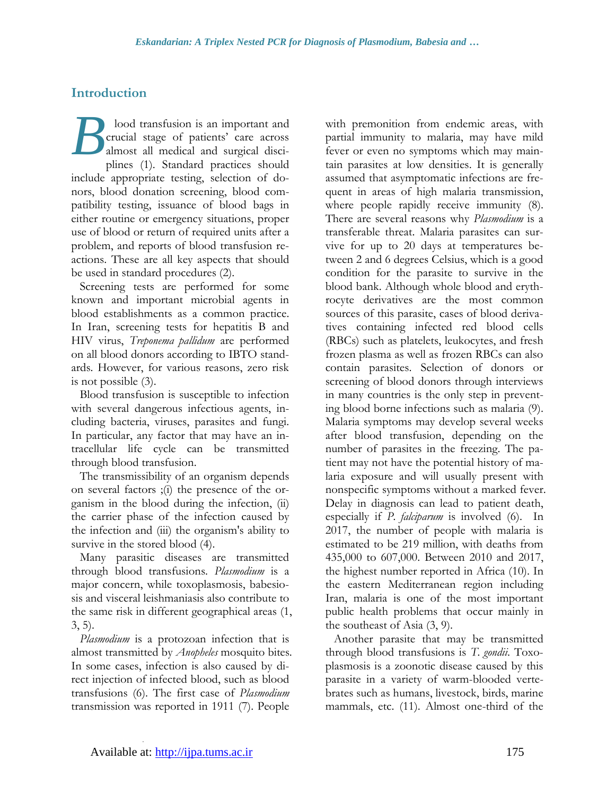## **Introduction**

lood transfusion is an important and crucial stage of patients' care across almost all medical and surgical disciplines (1). Standard practices should include appropriate testing, selection of donors, blood donation screening, blood compatibility testing, issuance of blood bags in either routine or emergency situations, proper use of blood or return of required units after a problem, and reports of blood transfusion reactions. These are all key aspects that should be used in standard procedures (2). *B*

Screening tests are performed for some known and important microbial agents in blood establishments as a common practice. In Iran, screening tests for hepatitis B and HIV virus, *Treponema pallidum* are performed on all blood donors according to IBTO standards. However, for various reasons, zero risk is not possible (3).

Blood transfusion is susceptible to infection with several dangerous infectious agents, including bacteria, viruses, parasites and fungi. In particular, any factor that may have an intracellular life cycle can be transmitted through blood transfusion.

The transmissibility of an organism depends on several factors ;(i) the presence of the organism in the blood during the infection, (ii) the carrier phase of the infection caused by the infection and (iii) the organism's ability to survive in the stored blood (4).

Many parasitic diseases are transmitted through blood transfusions. *Plasmodium* is a major concern, while toxoplasmosis, babesiosis and visceral leishmaniasis also contribute to the same risk in different geographical areas (1, 3, 5).

*Plasmodium* is a protozoan infection that is almost transmitted by *Anopheles* mosquito bites. In some cases, infection is also caused by direct injection of infected blood, such as blood transfusions (6). The first case of *Plasmodium* transmission was reported in 1911 (7). People

with premonition from endemic areas, with partial immunity to malaria, may have mild fever or even no symptoms which may maintain parasites at low densities. It is generally assumed that asymptomatic infections are frequent in areas of high malaria transmission, where people rapidly receive immunity  $(8)$ . There are several reasons why *Plasmodium* is a transferable threat. Malaria parasites can survive for up to 20 days at temperatures between 2 and 6 degrees Celsius, which is a good condition for the parasite to survive in the blood bank. Although whole blood and erythrocyte derivatives are the most common sources of this parasite, cases of blood derivatives containing infected red blood cells (RBCs) such as platelets, leukocytes, and fresh frozen plasma as well as frozen RBCs can also contain parasites. Selection of donors or screening of blood donors through interviews in many countries is the only step in preventing blood borne infections such as malaria (9). Malaria symptoms may develop several weeks after blood transfusion, depending on the number of parasites in the freezing. The patient may not have the potential history of malaria exposure and will usually present with nonspecific symptoms without a marked fever. Delay in diagnosis can lead to patient death, especially if *P. falciparum* is involved (6). In 2017, the number of people with malaria is estimated to be 219 million, with deaths from 435,000 to 607,000. Between 2010 and 2017, the highest number reported in Africa (10). In the eastern Mediterranean region including Iran, malaria is one of the most important public health problems that occur mainly in the southeast of Asia (3, 9).

Another parasite that may be transmitted through blood transfusions is *T. gondii*. Toxoplasmosis is a zoonotic disease caused by this parasite in a variety of warm-blooded vertebrates such as humans, livestock, birds, marine mammals, etc. (11). Almost one-third of the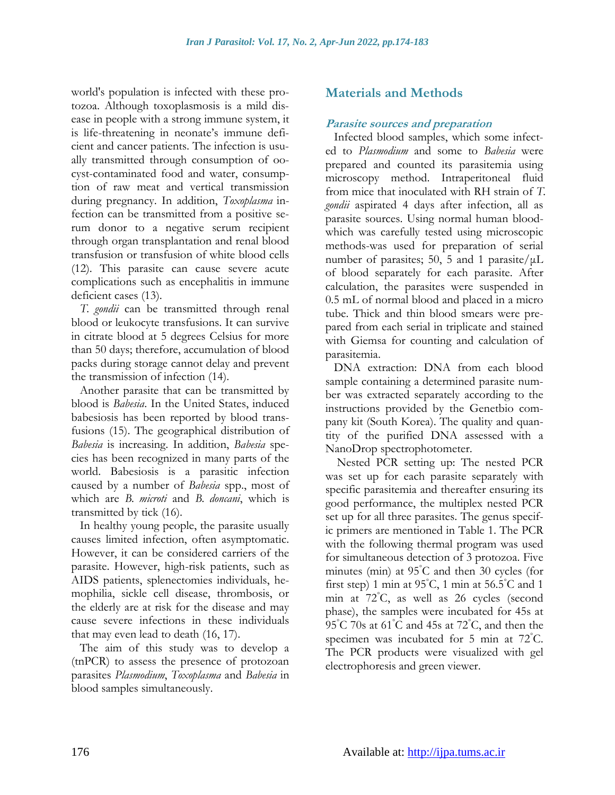world's population is infected with these protozoa. Although toxoplasmosis is a mild disease in people with a strong immune system, it is life-threatening in neonate's immune deficient and cancer patients. The infection is usually transmitted through consumption of oocyst-contaminated food and water, consumption of raw meat and vertical transmission during pregnancy. In addition, *Toxoplasma* infection can be transmitted from a positive serum donor to a negative serum recipient through organ transplantation and renal blood transfusion or transfusion of white blood cells (12). This parasite can cause severe acute complications such as encephalitis in immune deficient cases (13).

*T. gondii* can be transmitted through renal blood or leukocyte transfusions. It can survive in citrate blood at 5 degrees Celsius for more than 50 days; therefore, accumulation of blood packs during storage cannot delay and prevent the transmission of infection (14).

Another parasite that can be transmitted by blood is *Babesia*. In the United States, induced babesiosis has been reported by blood transfusions (15). The geographical distribution of *Babesia* is increasing. In addition, *Babesia* species has been recognized in many parts of the world. Babesiosis is a parasitic infection caused by a number of *Babesia* spp., most of which are *B. microti* and *B. doncani*, which is transmitted by tick (16).

In healthy young people, the parasite usually causes limited infection, often asymptomatic. However, it can be considered carriers of the parasite. However, high-risk patients, such as AIDS patients, splenectomies individuals, hemophilia, sickle cell disease, thrombosis, or the elderly are at risk for the disease and may cause severe infections in these individuals that may even lead to death (16, 17).

The aim of this study was to develop a (tnPCR) to assess the presence of protozoan parasites *Plasmodium*, *Toxoplasma* and *Babesia* in blood samples simultaneously.

## **Materials and Methods**

### **Parasite sources and preparation**

Infected blood samples, which some infected to *Plasmodium* and some to *Babesia* were prepared and counted its parasitemia using microscopy method. Intraperitoneal fluid from mice that inoculated with RH strain of *T. gondii* aspirated 4 days after infection, all as parasite sources. Using normal human bloodwhich was carefully tested using microscopic methods-was used for preparation of serial number of parasites; 50, 5 and 1 parasite/ $\mu$ L of blood separately for each parasite. After calculation, the parasites were suspended in 0.5 mL of normal blood and placed in a micro tube. Thick and thin blood smears were prepared from each serial in triplicate and stained with Giemsa for counting and calculation of parasitemia.

DNA extraction: DNA from each blood sample containing a determined parasite number was extracted separately according to the instructions provided by the Genetbio company kit (South Korea). The quality and quantity of the purified DNA assessed with a NanoDrop spectrophotometer.

Nested PCR setting up: The nested PCR was set up for each parasite separately with specific parasitemia and thereafter ensuring its good performance, the multiplex nested PCR set up for all three parasites. The genus specific primers are mentioned in Table 1. The PCR with the following thermal program was used for simultaneous detection of 3 protozoa. Five minutes (min) at 95°C and then 30 cycles (for first step) 1 min at  $95^{\circ}$ C, 1 min at  $56.5^{\circ}$ C and 1 min at 72°C, as well as 26 cycles (second phase), the samples were incubated for 45s at 95°C 70s at 61°C and 45s at 72°C, and then the specimen was incubated for 5 min at 72°C. The PCR products were visualized with gel electrophoresis and green viewer.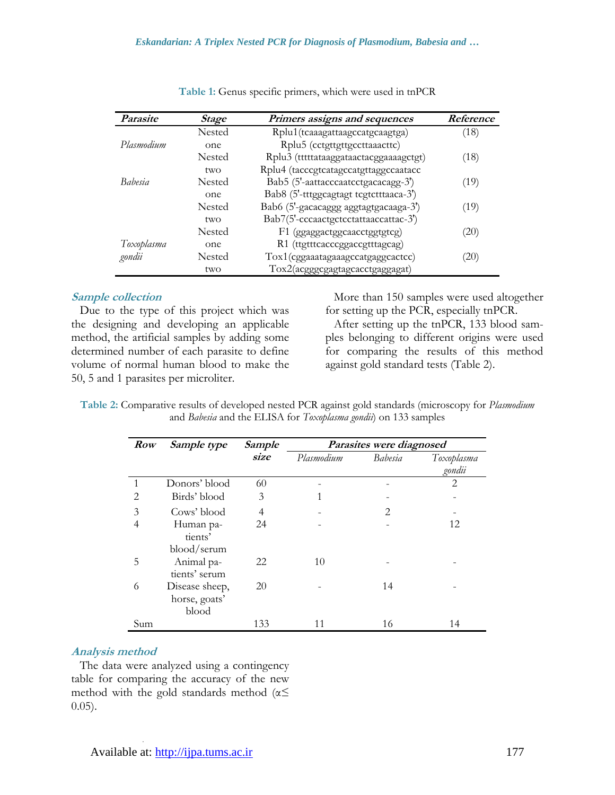#### *Eskandarian: A Triplex Nested PCR for Diagnosis of Plasmodium, Babesia and …*

| <i>Parasite</i> | <b>Stage</b>  | Primers assigns and sequences          | Reference |
|-----------------|---------------|----------------------------------------|-----------|
|                 | <b>Nested</b> | Rplu1(tcaaagattaagccatgcaagtga)        | (18)      |
| Plasmodium      | one           | Rplu5 (cctgttgttgccttaaacttc)          |           |
|                 | <b>Nested</b> | Rplu3 (tttttataaggataactacggaaaagctgt) | (18)      |
|                 | two           | Rplu4 (tacccgtcatagccatgttaggccaatacc  |           |
| <i>Babesia</i>  | <b>Nested</b> | Bab5 (5'-aattacccaatcctgacacagg-3')    | (19)      |
|                 | one           | Bab8 (5'-tttggcagtagt tcgtctttaaca-3') |           |
|                 | Nested        | Bab6 (5'-gacacaggg aggtagtgacaaga-3')  | (19)      |
|                 | two           | Bab7(5'-cccaactgctcctattaaccattac-3')  |           |
|                 | <b>Nested</b> | F1 (ggaggactggcaacctggtgtcg)           | (20)      |
| Toxoplasma      | one           | R1 (ttgtttcacccggaccgtttagcag)         |           |
| gondii          | Nested        | Tox1(cggaaatagaaagccatgaggcactcc)      | 20)       |
|                 | two           | Tox2(acgggcgagtagcacctgaggagat)        |           |

|  | Table 1: Genus specific primers, which were used in tnPCR |  |  |  |  |  |
|--|-----------------------------------------------------------|--|--|--|--|--|
|--|-----------------------------------------------------------|--|--|--|--|--|

#### **Sample collection**

Due to the type of this project which was the designing and developing an applicable method, the artificial samples by adding some determined number of each parasite to define volume of normal human blood to make the 50, 5 and 1 parasites per microliter.

More than 150 samples were used altogether for setting up the PCR, especially tnPCR.

After setting up the tnPCR, 133 blood samples belonging to different origins were used for comparing the results of this method against gold standard tests (Table 2).

| Table 2: Comparative results of developed nested PCR against gold standards (microscopy for Plasmodium |
|--------------------------------------------------------------------------------------------------------|
| and Babesia and the ELISA for Toxoplasma gondii) on 133 samples                                        |

| <b>Row</b>     | Sample type    | Sample | Parasites were diagnosed |                             |                |
|----------------|----------------|--------|--------------------------|-----------------------------|----------------|
|                |                | size   | Plasmodium               | Babesia                     | Toxoplasma     |
|                |                |        |                          |                             | gondii         |
|                | Donors' blood  | 60     |                          |                             | $\overline{2}$ |
| $\overline{2}$ | Birds' blood   | 3      |                          |                             |                |
| 3              | Cows' blood    | 4      |                          | $\mathcal{D}_{\mathcal{L}}$ |                |
| 4              | Human pa-      | 24     |                          |                             | 12             |
|                | tients'        |        |                          |                             |                |
|                | blood/serum    |        |                          |                             |                |
| 5              | Animal pa-     | 22     | 10                       |                             |                |
|                | tients' serum  |        |                          |                             |                |
| 6              | Disease sheep, | 20     |                          | 14                          |                |
|                | horse, goats'  |        |                          |                             |                |
|                | blood          |        |                          |                             |                |
| Sum            |                | 133    | 11                       | 16                          | 14             |

#### **Analysis method**

The data were analyzed using a contingency table for comparing the accuracy of the new method with the gold standards method ( $\alpha$ 0.05).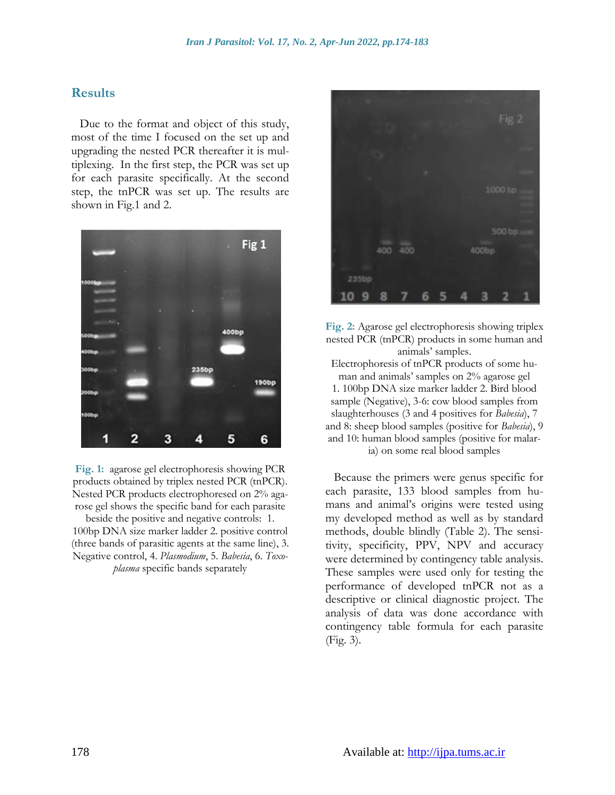### **Results**

Due to the format and object of this study, most of the time I focused on the set up and upgrading the nested PCR thereafter it is multiplexing. In the first step, the PCR was set up for each parasite specifically. At the second step, the tnPCR was set up. The results are shown in Fig.1 and 2.



**Fig. 1:** agarose gel electrophoresis showing PCR products obtained by triplex nested PCR (tnPCR). Nested PCR products electrophoresed on 2% agarose gel shows the specific band for each parasite

beside the positive and negative controls: 1. 100bp DNA size marker ladder 2. positive control (three bands of parasitic agents at the same line), 3. Negative control, 4. *Plasmodium*, 5. *Babesia*, 6. *Toxoplasma* specific bands separately



**Fig. 2:** Agarose gel electrophoresis showing triplex nested PCR (tnPCR) products in some human and animals' samples. Electrophoresis of tnPCR products of some human and animals' samples on 2% agarose gel 1. 100bp DNA size marker ladder 2. Bird blood sample (Negative), 3-6: cow blood samples from slaughterhouses (3 and 4 positives for *Babesia*), 7 and 8: sheep blood samples (positive for *Babesia*), 9 and 10: human blood samples (positive for malaria) on some real blood samples

Because the primers were genus specific for each parasite, 133 blood samples from humans and animal's origins were tested using my developed method as well as by standard methods, double blindly (Table 2). The sensitivity, specificity, PPV, NPV and accuracy were determined by contingency table analysis. These samples were used only for testing the performance of developed tnPCR not as a descriptive or clinical diagnostic project. The analysis of data was done accordance with contingency table formula for each parasite (Fig. 3).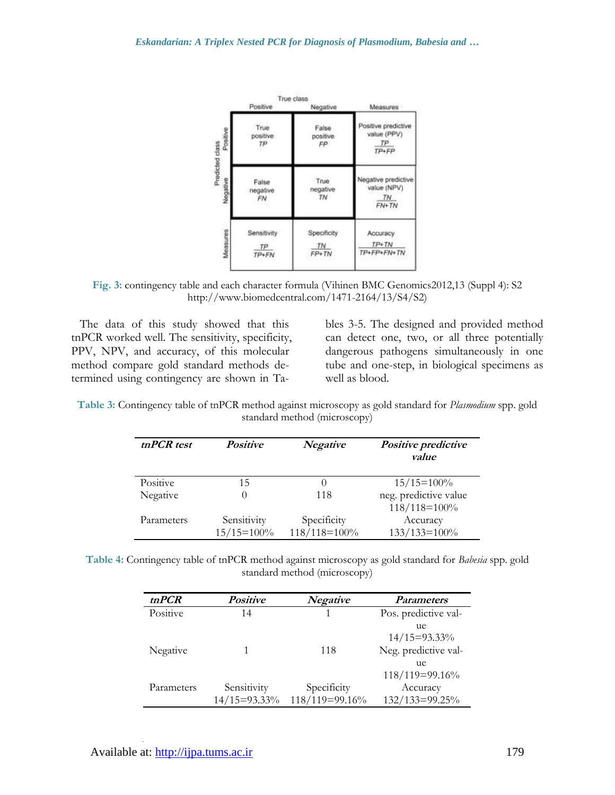

**Fig. 3:** contingency table and each character formula (Vihinen BMC Genomics2012,13 (Suppl 4): S2 [http://www.biomedcentral.com/1471-2164/13/S4/S2\)](http://www.biomedcentral.com/1471-2164/13/S4/S2)

The data of this study showed that this tnPCR worked well. The sensitivity, specificity, PPV, NPV, and accuracy, of this molecular method compare gold standard methods determined using contingency are shown in Tables 3-5. The designed and provided method can detect one, two, or all three potentially dangerous pathogens simultaneously in one tube and one-step, in biological specimens as well as blood.

**Table 3:** Contingency table of tnPCR method against microscopy as gold standard for *Plasmodium* spp. gold standard method (microscopy)

| tnPCR test | <b>Positive</b> | <b>Negative</b> | Positive predictive<br>value          |
|------------|-----------------|-----------------|---------------------------------------|
| Positive   | 15              |                 | $15/15=100%$                          |
| Negative   |                 | 118             | neg. predictive value<br>118/118=100% |
| Parameters | Sensitivity     | Specificity     | Accuracy                              |
|            | $15/15=100%$    | 118/118=100%    | $133/133=100%$                        |

**Table 4:** Contingency table of tnPCR method against microscopy as gold standard for *Babesia* spp. gold standard method (microscopy)

| tnPCR      | <b>Positive</b> | <b>Negative</b> | <b>Parameters</b>     |
|------------|-----------------|-----------------|-----------------------|
| Positive   | 14              |                 | Pos. predictive val-  |
|            |                 |                 | ue<br>$14/15=93.33\%$ |
| Negative   |                 | 118             | Neg. predictive val-  |
|            |                 |                 | ue<br>118/119=99.16%  |
| Parameters | Sensitivity     | Specificity     | Accuracy              |
|            | 14/15=93.33%    | 118/119=99.16%  | 132/133=99.25%        |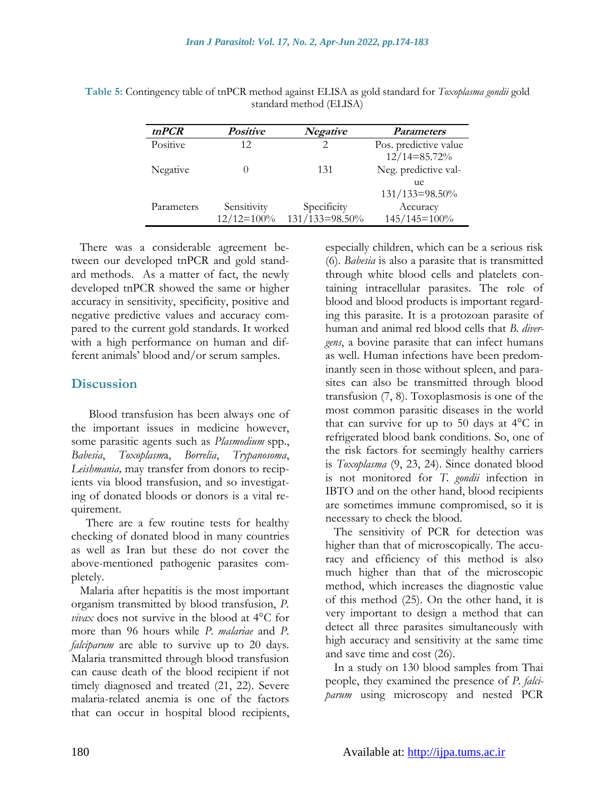| tnPCR      | <b>Positive</b> | Negative       | <i>Parameters</i>                         |
|------------|-----------------|----------------|-------------------------------------------|
| Positive   | 12              | 2              | Pos. predictive value<br>$12/14 = 85.72%$ |
| Negative   |                 | 131            | Neg. predictive val-<br>ue                |
|            |                 |                | 131/133=98.50%                            |
| Parameters | Sensitivity     | Specificity    | Accuracy                                  |
|            | $12/12=100%$    | 131/133=98.50% | 145/145=100%                              |

**Table 5:** Contingency table of tnPCR method against ELISA as gold standard for *Toxoplasma gondii* gold standard method (ELISA)

There was a considerable agreement between our developed tnPCR and gold standard methods. As a matter of fact, the newly developed tnPCR showed the same or higher accuracy in sensitivity, specificity, positive and negative predictive values and accuracy compared to the current gold standards. It worked with a high performance on human and different animals' blood and/or serum samples.

## **Discussion**

 Blood transfusion has been always one of the important issues in medicine however, some parasitic agents such as *Plasmodium* spp., *Babesia*, *Toxoplasm*a, *Borrelia*, *Trypanosoma*, *Leishmania,* may transfer from donors to recipients via blood transfusion, and so investigating of donated bloods or donors is a vital requirement.

There are a few routine tests for healthy checking of donated blood in many countries as well as Iran but these do not cover the above-mentioned pathogenic parasites completely.

Malaria after hepatitis is the most important organism transmitted by blood transfusion, *P. vivax* does not survive in the blood at 4°C for more than 96 hours while *P. malariae* and *P. falciparum* are able to survive up to 20 days. Malaria transmitted through blood transfusion can cause death of the blood recipient if not timely diagnosed and treated (21, 22). Severe malaria-related anemia is one of the factors that can occur in hospital blood recipients,

especially children, which can be a serious risk (6). *Babesia* is also a parasite that is transmitted through white blood cells and platelets containing intracellular parasites. The role of blood and blood products is important regarding this parasite. It is a protozoan parasite of human and animal red blood cells that *B. divergens*, a bovine parasite that can infect humans as well. Human infections have been predominantly seen in those without spleen, and parasites can also be transmitted through blood transfusion (7, 8). Toxoplasmosis is one of the most common parasitic diseases in the world that can survive for up to 50 days at  $4^{\circ}$ C in refrigerated blood bank conditions. So, one of the risk factors for seemingly healthy carriers is *Toxoplasma* (9, 23, 24). Since donated blood is not monitored for *T. gondii* infection in IBTO and on the other hand, blood recipients are sometimes immune compromised, so it is necessary to check the blood.

The sensitivity of PCR for detection was higher than that of microscopically. The accuracy and efficiency of this method is also much higher than that of the microscopic method, which increases the diagnostic value of this method (25). On the other hand, it is very important to design a method that can detect all three parasites simultaneously with high accuracy and sensitivity at the same time and save time and cost (26).

In a study on 130 blood samples from Thai people, they examined the presence of *P. falciparum* using microscopy and nested PCR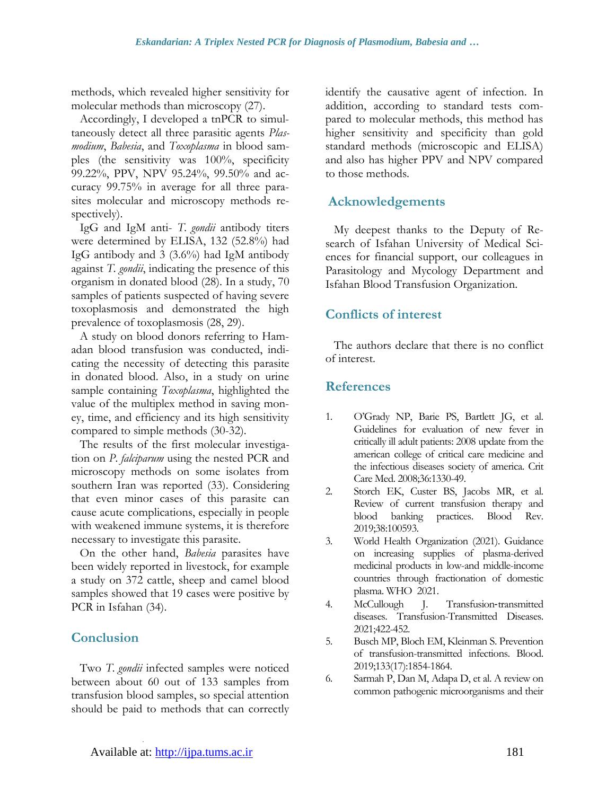methods, which revealed higher sensitivity for molecular methods than microscopy (27).

Accordingly, I developed a tnPCR to simultaneously detect all three parasitic agents *Plasmodium*, *Babesia*, and *Toxoplasma* in blood samples (the sensitivity was 100%, specificity 99.22%, PPV, NPV 95.24%, 99.50% and accuracy 99.75% in average for all three parasites molecular and microscopy methods respectively).

IgG and IgM anti- *T. gondii* antibody titers were determined by ELISA, 132 (52.8%) had IgG antibody and 3 (3.6%) had IgM antibody against *T. gondii*, indicating the presence of this organism in donated blood (28). In a study, 70 samples of patients suspected of having severe toxoplasmosis and demonstrated the high prevalence of toxoplasmosis (28, 29).

A study on blood donors referring to Hamadan blood transfusion was conducted, indicating the necessity of detecting this parasite in donated blood. Also, in a study on urine sample containing *Toxoplasma*, highlighted the value of the multiplex method in saving money, time, and efficiency and its high sensitivity compared to simple methods (30-32).

The results of the first molecular investigation on *P. falciparum* using the nested PCR and microscopy methods on some isolates from southern Iran was reported (33). Considering that even minor cases of this parasite can cause acute complications, especially in people with weakened immune systems, it is therefore necessary to investigate this parasite.

On the other hand, *Babesia* parasites have been widely reported in livestock, for example a study on 372 cattle, sheep and camel blood samples showed that 19 cases were positive by PCR in Isfahan (34).

## **Conclusion**

Two *T. gondii* infected samples were noticed between about 60 out of 133 samples from transfusion blood samples, so special attention should be paid to methods that can correctly identify the causative agent of infection. In addition, according to standard tests compared to molecular methods, this method has higher sensitivity and specificity than gold standard methods (microscopic and ELISA) and also has higher PPV and NPV compared to those methods.

## **Acknowledgements**

My deepest thanks to the Deputy of Research of Isfahan University of Medical Sciences for financial support, our colleagues in Parasitology and Mycology Department and Isfahan Blood Transfusion Organization.

## **Conflicts of interest**

The authors declare that there is no conflict of interest.

### **References**

- 1. O'Grady NP, Barie PS, Bartlett JG, et al. Guidelines for evaluation of new fever in critically ill adult patients: 2008 update from the american college of critical care medicine and the infectious diseases society of america. Crit Care Med. 2008;36:1330-49.
- 2. Storch EK, Custer BS, Jacobs MR, et al. Review of current transfusion therapy and blood banking practices. Blood Rev. 2019;38:100593.
- 3. World Health Organization (2021). Guidance on increasing supplies of plasma-derived medicinal products in low-and middle-income countries through fractionation of domestic plasma. WHO 2021.
- 4. McCullough J. Transfusion‐transmitted diseases. Transfusion-Transmitted Diseases. 2021;422-452.
- 5. Busch MP, Bloch EM, Kleinman S. Prevention of transfusion-transmitted infections. Blood. 2019;133(17):1854-1864.
- 6. Sarmah P, Dan M, Adapa D, et al. A review on common pathogenic microorganisms and their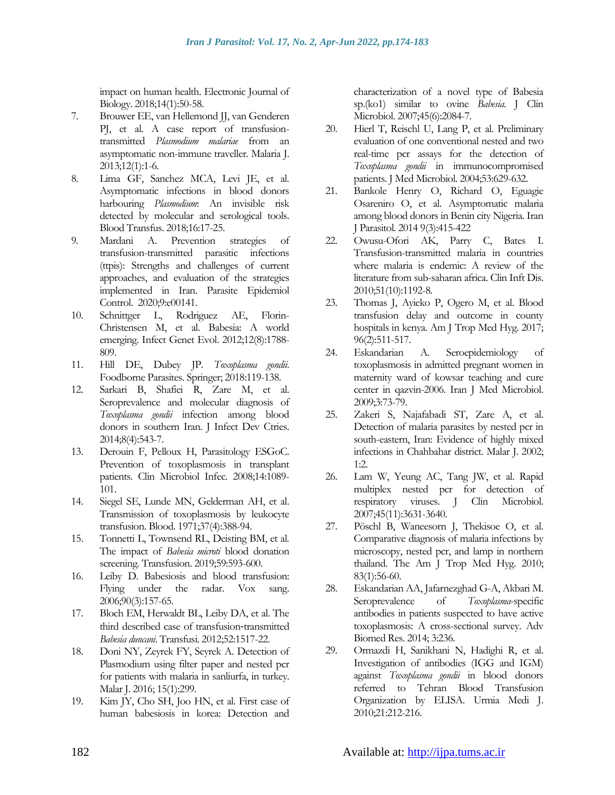impact on human health. Electronic Journal of Biology. 2018;14(1):50-58.

- 7. Brouwer EE, van Hellemond JJ, van Genderen PJ, et al. A case report of transfusiontransmitted *Plasmodium malariae* from an asymptomatic non-immune traveller. Malaria J. 2013;12(1):1-6.
- 8. Lima GF, Sanchez MCA, Levi JE, et al. Asymptomatic infections in blood donors harbouring *Plasmodium*: An invisible risk detected by molecular and serological tools. Blood Transfus. 2018;16:17-25.
- 9. Mardani A. Prevention strategies of transfusion-transmitted parasitic infections (ttpis): Strengths and challenges of current approaches, and evaluation of the strategies implemented in Iran. Parasite Epidemiol Control. 2020;9:e00141.
- 10. Schnittger L, Rodriguez AE, Florin-Christensen M, et al. Babesia: A world emerging. Infect Genet Evol. 2012;12(8):1788- 809.
- 11. Hill DE, Dubey JP. *Toxoplasma gondii*. Foodborne Parasites. Springer; 2018:119-138.
- 12. Sarkari B, Shafiei R, Zare M, et al. Seroprevalence and molecular diagnosis of *Toxoplasma gondii* infection among blood donors in southern Iran. J Infect Dev Ctries. 2014;8(4):543-7.
- 13. Derouin F, Pelloux H, Parasitology ESGoC. Prevention of toxoplasmosis in transplant patients. Clin Microbiol Infec. 2008;14:1089- 101.
- 14. Siegel SE, Lunde MN, Gelderman AH, et al. Transmission of toxoplasmosis by leukocyte transfusion. Blood. 1971;37(4):388-94.
- 15. Tonnetti L, Townsend RL, Deisting BM, et al. The impact of *Babesia microti* blood donation screening. Transfusion. 2019;59:593-600.
- 16. Leiby D. Babesiosis and blood transfusion: Flying under the radar. Vox sang. 2006;90(3):157-65.
- 17. Bloch EM, Herwaldt BL, Leiby DA, et al. The third described case of transfusion‐transmitted *Babesia duncani*. Transfusi. 2012;52:1517-22.
- 18. Doni NY, Zeyrek FY, Seyrek A. Detection of Plasmodium using filter paper and nested pcr for patients with malaria in sanliurfa, in turkey. Malar J. 2016; 15(1):299.
- 19. Kim JY, Cho SH, Joo HN, et al. First case of human babesiosis in korea: Detection and

characterization of a novel type of Babesia sp.(ko1) similar to ovine *Babesia*. J Clin Microbiol. 2007;45(6):2084-7.

- 20. Hierl T, Reischl U, Lang P, et al. Preliminary evaluation of one conventional nested and two real-time pcr assays for the detection of *Toxoplasma gondii* in immunocompromised patients. J Med Microbiol. 2004;53:629-632.
- 21. Bankole Henry O, Richard O, Eguagie Osareniro O, et al. Asymptomatic malaria among blood donors in Benin city Nigeria. Iran J Parasitol. 2014 9(3):415-422
- 22. Owusu-Ofori AK, Parry C, Bates I. Transfusion-transmitted malaria in countries where malaria is endemic: A review of the literature from sub-saharan africa. Clin Inft Dis. 2010;51(10):1192-8.
- 23. Thomas J, Ayieko P, Ogero M, et al. Blood transfusion delay and outcome in county hospitals in kenya. Am J Trop Med Hyg. 2017; 96(2):511-517.
- 24. Eskandarian A. Seroepidemiology of toxoplasmosis in admitted pregnant women in maternity ward of kowsar teaching and cure center in qazvin-2006. Iran J Med Microbiol. 2009;3:73-79.
- 25. Zakeri S, Najafabadi ST, Zare A, et al. Detection of malaria parasites by nested pcr in south-eastern, Iran: Evidence of highly mixed infections in Chahbahar district. Malar J. 2002; 1:2.
- 26. Lam W, Yeung AC, Tang JW, et al. Rapid multiplex nested pcr for detection of respiratory viruses. J Clin Microbiol. 2007;45(11):3631-3640.
- 27. Pöschl B, Waneesorn J, Thekisoe O, et al. Comparative diagnosis of malaria infections by microscopy, nested pcr, and lamp in northern thailand. The Am J Trop Med Hyg. 2010; 83(1):56-60.
- 28. Eskandarian AA, Jafarnezghad G-A, Akbari M. Seroprevalence of *Toxoplasma*-specific antibodies in patients suspected to have active toxoplasmosis: A cross-sectional survey. Adv Biomed Res. 2014; 3:236.
- 29. Ormazdi H, Sanikhani N, Hadighi R, et al. Investigation of antibodies (IGG and IGM) against *Toxoplasma gondii* in blood donors referred to Tehran Blood Transfusion Organization by ELISA. Urmia Medi J. 2010;21:212-216.